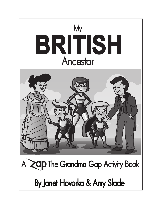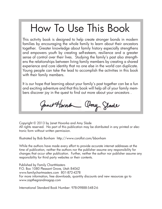## How To Use This Book

This activity book is designed to help create stronger bonds in modern families by encouraging the whole family to learn about their ancestors together. Greater knowledge about family history especially strengthens and empowers youth by creating self-esteem, resilience and a greater sense of control over their lives. Studying the family's past also strengthens the relationships between living family members by creating a shared experience and core identity that no one else in the world can duplicate. Young people can take the lead to accomplish the activities in this book with their family members.

It is our hope that learning about your family's past together can be a fun and exciting adventure and that this book will help all of your family members discover joy in the quest to find out more about your ancestors .

Janet Hornbe amy Glade

Copyright © 2013 by Janet Hovorka and Amy Slade All rights reserved. No part of this publication may be distributed in any printed or electronic form without written permission.

Illustrated by Bob Bonham http://www.coroflot.com/bbonham

While the authors have made every effort to provide accurate internet addresses at the time of publication, neither the authors nor the publisher assume any responsibility for changes that occur after publication. Further, neither the author nor publisher assume any responsibility for third party websites or their contents.

Published by Family ChartMasters P.O. Box 1080 Pleasant Grove, Utah 84062 www.familychartmasters.com 801-872-4278 For more information, free downloads, quantity discounts and new resources go to www.zapthegrandmagap.com

International Standard Book Number: 978-09888-548-2-6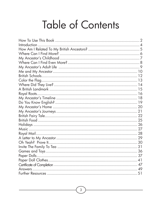## Table of Contents